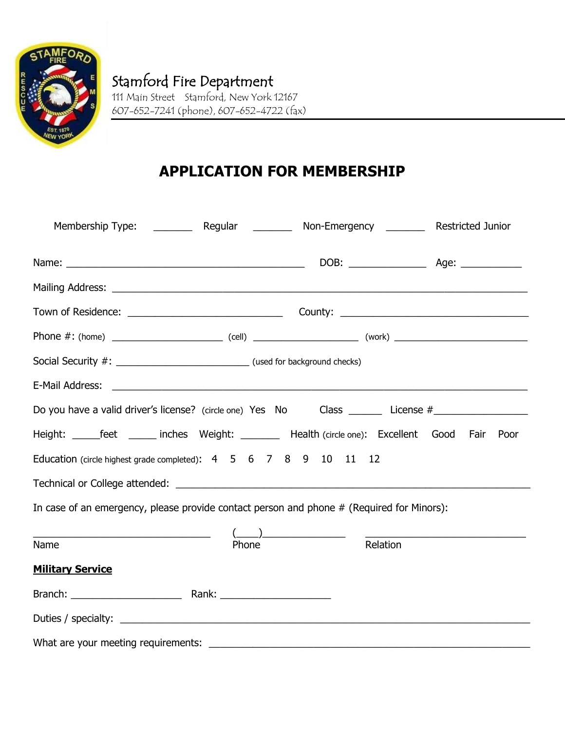

## **APPLICATION FOR MEMBERSHIP**

|                                                                                                      |       | Membership Type: ___________ Regular ____________ Non-Emergency ___________ Restricted Junior |  |
|------------------------------------------------------------------------------------------------------|-------|-----------------------------------------------------------------------------------------------|--|
|                                                                                                      |       |                                                                                               |  |
|                                                                                                      |       |                                                                                               |  |
|                                                                                                      |       |                                                                                               |  |
|                                                                                                      |       |                                                                                               |  |
|                                                                                                      |       |                                                                                               |  |
|                                                                                                      |       |                                                                                               |  |
| Do you have a valid driver's license? (circle one) Yes No Class _______ License #___________________ |       |                                                                                               |  |
| Height: ______feet _______ inches Weight: ________ Health (circle one): Excellent Good Fair Poor     |       |                                                                                               |  |
| Education (circle highest grade completed): 4 5 6 7 8 9 10 11                                        |       | -12                                                                                           |  |
|                                                                                                      |       |                                                                                               |  |
| In case of an emergency, please provide contact person and phone # (Required for Minors):            |       |                                                                                               |  |
|                                                                                                      |       | $(\_\_\_\_\_\$                                                                                |  |
| Name                                                                                                 | Phone | Relation                                                                                      |  |
| <b>Military Service</b>                                                                              |       |                                                                                               |  |
|                                                                                                      |       |                                                                                               |  |
|                                                                                                      |       |                                                                                               |  |
|                                                                                                      |       |                                                                                               |  |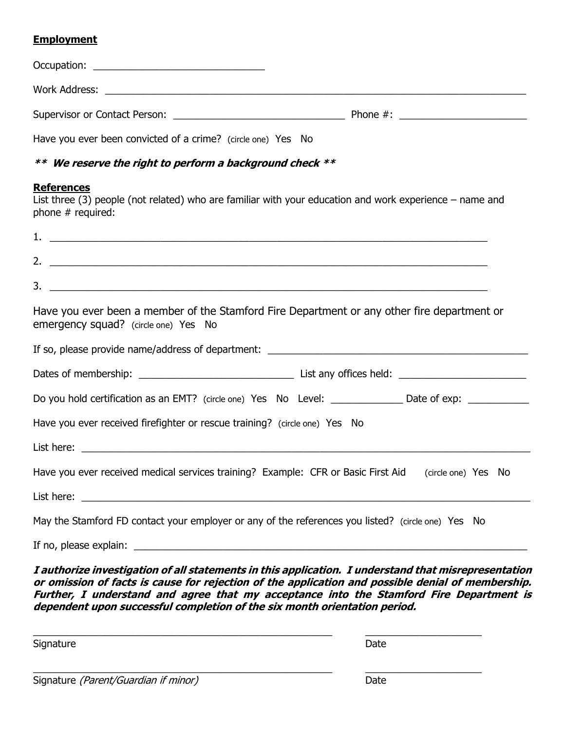#### **Employment**

| Have you ever been convicted of a crime? (circle one) Yes No                                       |                                                                                                           |
|----------------------------------------------------------------------------------------------------|-----------------------------------------------------------------------------------------------------------|
| ** We reserve the right to perform a background check **                                           |                                                                                                           |
| <b>References</b><br>phone $#$ required:                                                           | List three (3) people (not related) who are familiar with your education and work experience – name and   |
|                                                                                                    |                                                                                                           |
|                                                                                                    |                                                                                                           |
|                                                                                                    |                                                                                                           |
| emergency squad? (circle one) Yes No                                                               | Have you ever been a member of the Stamford Fire Department or any other fire department or               |
|                                                                                                    |                                                                                                           |
|                                                                                                    |                                                                                                           |
|                                                                                                    | Do you hold certification as an EMT? (circle one) Yes No Level: ______________ Date of exp: _____________ |
| Have you ever received firefighter or rescue training? (circle one) Yes No                         |                                                                                                           |
|                                                                                                    |                                                                                                           |
|                                                                                                    | Have you ever received medical services training? Example: CFR or Basic First Aid (circle one) Yes No     |
|                                                                                                    |                                                                                                           |
| May the Stamford FD contact your employer or any of the references you listed? (circle one) Yes No |                                                                                                           |
|                                                                                                    |                                                                                                           |

**I authorize investigation of all statements in this application. I understand that misrepresentation or omission of facts is cause for rejection of the application and possible denial of membership. Further, I understand and agree that my acceptance into the Stamford Fire Department is dependent upon successful completion of the six month orientation period.**

\_\_\_\_\_\_\_\_\_\_\_\_\_\_\_\_\_\_\_\_\_\_\_\_\_\_\_\_\_\_\_\_\_\_\_\_\_\_\_\_\_\_\_\_\_\_\_\_\_\_\_\_\_\_ \_\_\_\_\_\_\_\_\_\_\_\_\_\_\_\_\_\_\_\_\_

\_\_\_\_\_\_\_\_\_\_\_\_\_\_\_\_\_\_\_\_\_\_\_\_\_\_\_\_\_\_\_\_\_\_\_\_\_\_\_\_\_\_\_\_\_\_\_\_\_\_\_\_\_\_ \_\_\_\_\_\_\_\_\_\_\_\_\_\_\_\_\_\_\_\_\_

Signature Date Date Communications and the Date Date Date Date

Signature (Parent/Guardian if minor) Date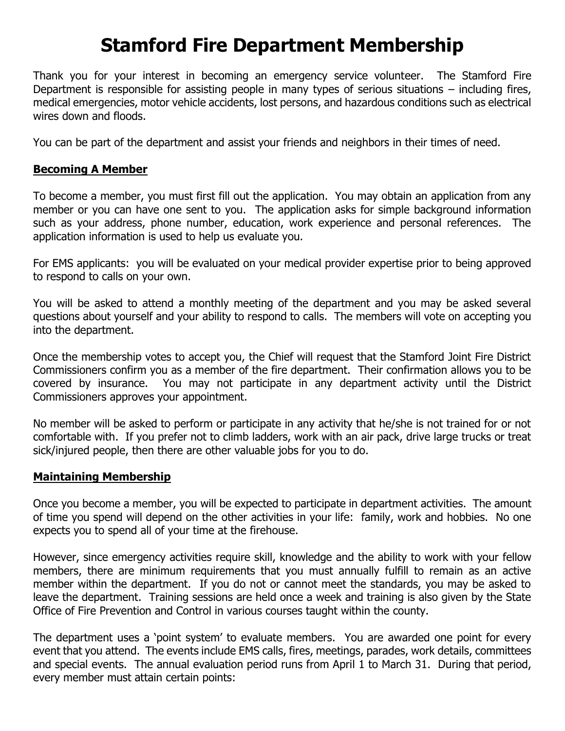# **Stamford Fire Department Membership**

Thank you for your interest in becoming an emergency service volunteer. The Stamford Fire Department is responsible for assisting people in many types of serious situations – including fires, medical emergencies, motor vehicle accidents, lost persons, and hazardous conditions such as electrical wires down and floods.

You can be part of the department and assist your friends and neighbors in their times of need.

#### **Becoming A Member**

To become a member, you must first fill out the application. You may obtain an application from any member or you can have one sent to you. The application asks for simple background information such as your address, phone number, education, work experience and personal references. The application information is used to help us evaluate you.

For EMS applicants: you will be evaluated on your medical provider expertise prior to being approved to respond to calls on your own.

You will be asked to attend a monthly meeting of the department and you may be asked several questions about yourself and your ability to respond to calls. The members will vote on accepting you into the department.

Once the membership votes to accept you, the Chief will request that the Stamford Joint Fire District Commissioners confirm you as a member of the fire department. Their confirmation allows you to be covered by insurance. You may not participate in any department activity until the District Commissioners approves your appointment.

No member will be asked to perform or participate in any activity that he/she is not trained for or not comfortable with. If you prefer not to climb ladders, work with an air pack, drive large trucks or treat sick/injured people, then there are other valuable jobs for you to do.

#### **Maintaining Membership**

Once you become a member, you will be expected to participate in department activities. The amount of time you spend will depend on the other activities in your life: family, work and hobbies. No one expects you to spend all of your time at the firehouse.

However, since emergency activities require skill, knowledge and the ability to work with your fellow members, there are minimum requirements that you must annually fulfill to remain as an active member within the department. If you do not or cannot meet the standards, you may be asked to leave the department. Training sessions are held once a week and training is also given by the State Office of Fire Prevention and Control in various courses taught within the county.

The department uses a 'point system' to evaluate members. You are awarded one point for every event that you attend. The events include EMS calls, fires, meetings, parades, work details, committees and special events. The annual evaluation period runs from April 1 to March 31. During that period, every member must attain certain points: